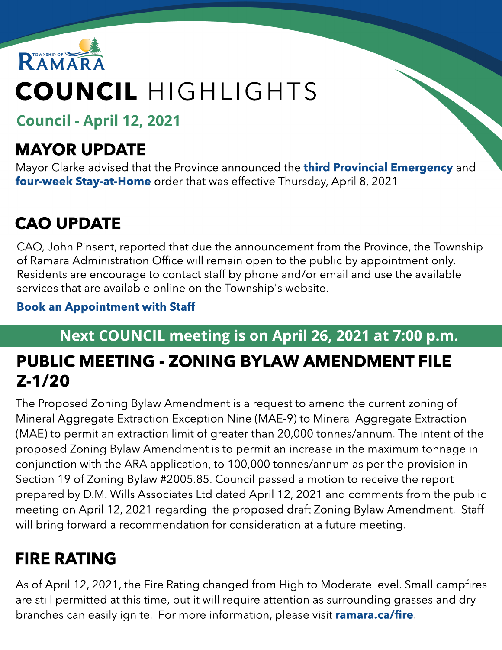

# COUNCIL HIGHLIGHTS

Council - April 12, 2021

## MAYOR UPDATE

Mayor Clarke advised that the Province announced the **[third](https://covid-19.ontario.ca/zones-and-restrictions?gclid=Cj0KCQjwpdqDBhCSARIsAEUJ0hOHk8Paci4Ut06EYTH-dptGXiNaOZsnAQMCcwhwAUsw_MJAfImPFzUaAmIQEALw_wcB&gclsrc=aw.ds) [Provincial](https://covid-19.ontario.ca/zones-and-restrictions?gclid=Cj0KCQjwpdqDBhCSARIsAEUJ0hOHk8Paci4Ut06EYTH-dptGXiNaOZsnAQMCcwhwAUsw_MJAfImPFzUaAmIQEALw_wcB&gclsrc=aw.ds) [Emergency](https://covid-19.ontario.ca/zones-and-restrictions?gclid=Cj0KCQjwpdqDBhCSARIsAEUJ0hOHk8Paci4Ut06EYTH-dptGXiNaOZsnAQMCcwhwAUsw_MJAfImPFzUaAmIQEALw_wcB&gclsrc=aw.ds)** and [four-w](https://covid-19.ontario.ca/zones-and-restrictions?gclid=Cj0KCQjwpdqDBhCSARIsAEUJ0hOHk8Paci4Ut06EYTH-dptGXiNaOZsnAQMCcwhwAUsw_MJAfImPFzUaAmIQEALw_wcB&gclsrc=aw.ds)eek [Stay-at-Home](https://covid-19.ontario.ca/zones-and-restrictions?gclid=Cj0KCQjwpdqDBhCSARIsAEUJ0hOHk8Paci4Ut06EYTH-dptGXiNaOZsnAQMCcwhwAUsw_MJAfImPFzUaAmIQEALw_wcB&gclsrc=aw.ds) order that was effective Thursday, April 8, 2021

# CAO UPDATE

CAO, John Pinsent, reported that due the announcement from the Province, the Township of Ramara Administration Office will remain open to the public by appointment only. Residents are encourage to contact staff by phone and/or email and use the available services that are available online on the Township's website.

#### **[Book](https://www.ramara.ca/en/municipal-office/booking-an-appointment.aspx) [an](https://www.ramara.ca/en/municipal-office/booking-an-appointment.aspx) [Appointment](https://www.ramara.ca/en/municipal-office/booking-an-appointment.aspx) w[ith](https://www.ramara.ca/en/municipal-office/booking-an-appointment.aspx) [Staff](https://www.ramara.ca/en/municipal-office/booking-an-appointment.aspx)**

### Next COUNCIL meeting is on April 26, 2021 at 7:00 p.m.

## PUBLIC MEETING - ZONING BYLAW AMENDMENT FILE Z-1/20

The Proposed Zoning Bylaw Amendment is a request to amend the current zoning of Mineral Aggregate Extraction Exception Nine (MAE-9) to Mineral Aggregate Extraction (MAE) to permit an extraction limit of greater than 20,000 tonnes/annum. The intent of the proposed Zoning Bylaw Amendment is to permit an increase in the maximum tonnage in conjunction with the ARA application, to 100,000 tonnes/annum as per the provision in Section 19 of Zoning Bylaw #2005.85. Council passed a motion to receive the report prepared by D.M. Wills Associates Ltd dated April 12, 2021 and comments from the public meeting on April 12, 2021 regarding the proposed draft Zoning Bylaw Amendment. Staff will bring forward a recommendation for consideration at a future meeting.

## FIRE RATING

As of April 12, 2021, the Fire Rating changed from High to Moderate level. Small campfires are still permitted at this time, but it will require attention as surrounding grasses and dry branches can easily ignite. For more information, please visit **[ramara.ca/fire](http://www.ramara.ca/fire)**.